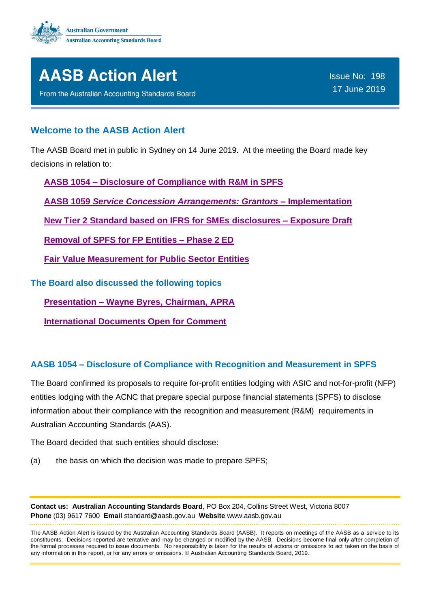



From the Australian Accounting Standards Board

Issue No: 198 17 June 2019

## **Welcome to the AASB Action Alert**

The AASB Board met in public in Sydney on 14 June 2019. At the meeting the Board made key decisions in relation to:

**AASB 1054 – [Disclosure of Compliance with R&M in SPFS](#page-0-0)**

**AASB 1059** *[Service Concession Arrangements: Grantors](#page-1-0)* **– Implementation**

**[New Tier 2 Standard based on IFRS for SMEs disclosures –](#page-2-0) Exposure Draft**

**[Removal of SPFS for FP Entities –](#page-2-1) Phase 2 ED**

**[Fair Value Measurement for Public Sector](#page-4-0) Entities**

**The Board also discussed the following topics**

**Presentation – [Wayne Byres, Chairman, APRA](#page-6-0)**

**[International Documents Open for Comment](#page-6-1)**

## <span id="page-0-0"></span>**AASB 1054 – Disclosure of Compliance with Recognition and Measurement in SPFS**

The Board confirmed its proposals to require for-profit entities lodging with ASIC and not-for-profit (NFP) entities lodging with the ACNC that prepare special purpose financial statements (SPFS) to disclose information about their compliance with the recognition and measurement (R&M) requirements in Australian Accounting Standards (AAS).

The Board decided that such entities should disclose:

(a) the basis on which the decision was made to prepare SPFS;

**Contact us: Australian Accounting Standards Board**, PO Box 204, Collins Street West, Victoria 8007 **Phone** (03) 9617 7600 **Email** standard@aasb.gov.au **Website** www.aasb.gov.au

The AASB Action Alert is issued by the Australian Accounting Standards Board (AASB). It reports on meetings of the AASB as a service to its constituents. Decisions reported are tentative and may be changed or modified by the AASB. Decisions become final only after completion of the formal processes required to issue documents. No responsibility is taken for the results of actions or omissions to act taken on the basis of any information in this report, or for any errors or omissions. © Australian Accounting Standards Board, 2019.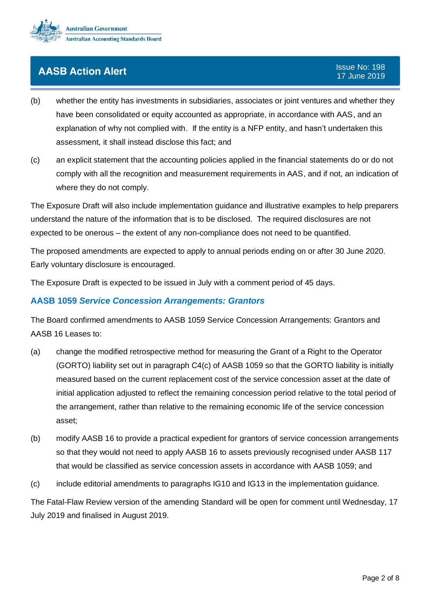

- (b) whether the entity has investments in subsidiaries, associates or joint ventures and whether they have been consolidated or equity accounted as appropriate, in accordance with AAS, and an explanation of why not complied with. If the entity is a NFP entity, and hasn't undertaken this assessment, it shall instead disclose this fact; and
- (c) an explicit statement that the accounting policies applied in the financial statements do or do not comply with all the recognition and measurement requirements in AAS, and if not, an indication of where they do not comply.

The Exposure Draft will also include implementation guidance and illustrative examples to help preparers understand the nature of the information that is to be disclosed. The required disclosures are not expected to be onerous – the extent of any non-compliance does not need to be quantified.

The proposed amendments are expected to apply to annual periods ending on or after 30 June 2020. Early voluntary disclosure is encouraged.

The Exposure Draft is expected to be issued in July with a comment period of 45 days.

### <span id="page-1-0"></span>**AASB 1059** *Service Concession Arrangements: Grantors*

The Board confirmed amendments to AASB 1059 Service Concession Arrangements: Grantors and AASB 16 Leases to:

- (a) change the modified retrospective method for measuring the Grant of a Right to the Operator (GORTO) liability set out in paragraph C4(c) of AASB 1059 so that the GORTO liability is initially measured based on the current replacement cost of the service concession asset at the date of initial application adjusted to reflect the remaining concession period relative to the total period of the arrangement, rather than relative to the remaining economic life of the service concession asset;
- (b) modify AASB 16 to provide a practical expedient for grantors of service concession arrangements so that they would not need to apply AASB 16 to assets previously recognised under AASB 117 that would be classified as service concession assets in accordance with AASB 1059; and
- (c) include editorial amendments to paragraphs IG10 and IG13 in the implementation guidance.

The Fatal-Flaw Review version of the amending Standard will be open for comment until Wednesday, 17 July 2019 and finalised in August 2019.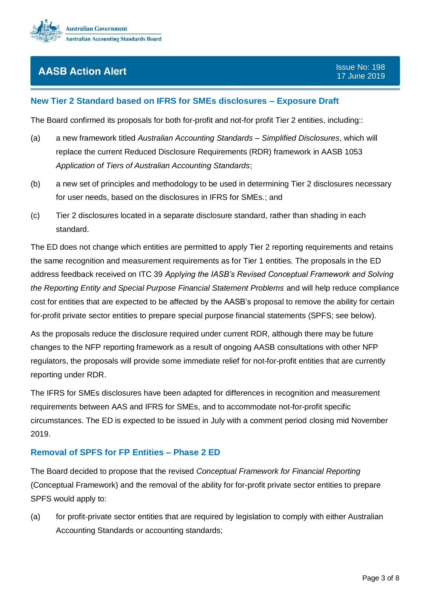

## <span id="page-2-0"></span>**New Tier 2 Standard based on IFRS for SMEs disclosures – Exposure Draft**

The Board confirmed its proposals for both for-profit and not-for profit Tier 2 entities, including::

- (a) a new framework titled *Australian Accounting Standards – Simplified Disclosures*, which will replace the current Reduced Disclosure Requirements (RDR) framework in AASB 1053 *Application of Tiers of Australian Accounting Standards*;
- (b) a new set of principles and methodology to be used in determining Tier 2 disclosures necessary for user needs, based on the disclosures in IFRS for SMEs.; and
- (c) Tier 2 disclosures located in a separate disclosure standard, rather than shading in each standard.

The ED does not change which entities are permitted to apply Tier 2 reporting requirements and retains the same recognition and measurement requirements as for Tier 1 entities. The proposals in the ED address feedback received on ITC 39 *Applying the IASB's Revised Conceptual Framework and Solving the Reporting Entity and Special Purpose Financial Statement Problems* and will help reduce compliance cost for entities that are expected to be affected by the AASB's proposal to remove the ability for certain for-profit private sector entities to prepare special purpose financial statements (SPFS; see below).

As the proposals reduce the disclosure required under current RDR, although there may be future changes to the NFP reporting framework as a result of ongoing AASB consultations with other NFP regulators, the proposals will provide some immediate relief for not-for-profit entities that are currently reporting under RDR.

The IFRS for SMEs disclosures have been adapted for differences in recognition and measurement requirements between AAS and IFRS for SMEs, and to accommodate not-for-profit specific circumstances. The ED is expected to be issued in July with a comment period closing mid November 2019.

#### <span id="page-2-1"></span>**Removal of SPFS for FP Entities – Phase 2 ED**

The Board decided to propose that the revised *Conceptual Framework for Financial Reporting* (Conceptual Framework) and the removal of the ability for for-profit private sector entities to prepare SPFS would apply to:

(a) for profit-private sector entities that are required by legislation to comply with either Australian Accounting Standards or accounting standards;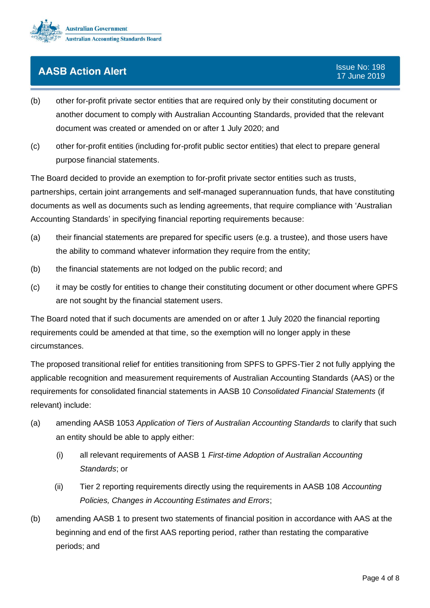

- (b) other for-profit private sector entities that are required only by their constituting document or another document to comply with Australian Accounting Standards, provided that the relevant document was created or amended on or after 1 July 2020; and
- (c) other for-profit entities (including for-profit public sector entities) that elect to prepare general purpose financial statements.

The Board decided to provide an exemption to for-profit private sector entities such as trusts,

partnerships, certain joint arrangements and self-managed superannuation funds, that have constituting documents as well as documents such as lending agreements, that require compliance with 'Australian Accounting Standards' in specifying financial reporting requirements because:

- (a) their financial statements are prepared for specific users (e.g. a trustee), and those users have the ability to command whatever information they require from the entity;
- (b) the financial statements are not lodged on the public record; and
- (c) it may be costly for entities to change their constituting document or other document where GPFS are not sought by the financial statement users.

The Board noted that if such documents are amended on or after 1 July 2020 the financial reporting requirements could be amended at that time, so the exemption will no longer apply in these circumstances.

The proposed transitional relief for entities transitioning from SPFS to GPFS-Tier 2 not fully applying the applicable recognition and measurement requirements of Australian Accounting Standards (AAS) or the requirements for consolidated financial statements in AASB 10 *Consolidated Financial Statements* (if relevant) include:

- (a) amending AASB 1053 *Application of Tiers of Australian Accounting Standards* to clarify that such an entity should be able to apply either:
	- (i) all relevant requirements of AASB 1 *First-time Adoption of Australian Accounting Standards*; or
	- (ii) Tier 2 reporting requirements directly using the requirements in AASB 108 *Accounting Policies, Changes in Accounting Estimates and Errors*;
- (b) amending AASB 1 to present two statements of financial position in accordance with AAS at the beginning and end of the first AAS reporting period, rather than restating the comparative periods; and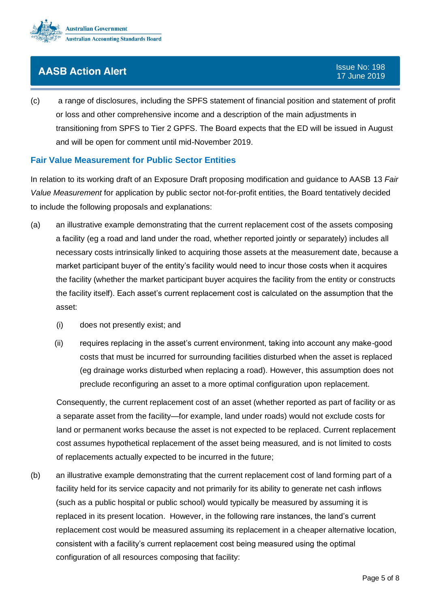

(c) a range of disclosures, including the SPFS statement of financial position and statement of profit or loss and other comprehensive income and a description of the main adjustments in transitioning from SPFS to Tier 2 GPFS. The Board expects that the ED will be issued in August and will be open for comment until mid-November 2019.

## <span id="page-4-0"></span>**Fair Value Measurement for Public Sector Entities**

In relation to its working draft of an Exposure Draft proposing modification and guidance to AASB 13 *Fair Value Measurement* for application by public sector not-for-profit entities, the Board tentatively decided to include the following proposals and explanations:

- (a) an illustrative example demonstrating that the current replacement cost of the assets composing a facility (eg a road and land under the road, whether reported jointly or separately) includes all necessary costs intrinsically linked to acquiring those assets at the measurement date, because a market participant buyer of the entity's facility would need to incur those costs when it acquires the facility (whether the market participant buyer acquires the facility from the entity or constructs the facility itself). Each asset's current replacement cost is calculated on the assumption that the asset:
	- (i) does not presently exist; and
	- (ii) requires replacing in the asset's current environment, taking into account any make-good costs that must be incurred for surrounding facilities disturbed when the asset is replaced (eg drainage works disturbed when replacing a road). However, this assumption does not preclude reconfiguring an asset to a more optimal configuration upon replacement.

Consequently, the current replacement cost of an asset (whether reported as part of facility or as a separate asset from the facility—for example, land under roads) would not exclude costs for land or permanent works because the asset is not expected to be replaced. Current replacement cost assumes hypothetical replacement of the asset being measured, and is not limited to costs of replacements actually expected to be incurred in the future;

(b) an illustrative example demonstrating that the current replacement cost of land forming part of a facility held for its service capacity and not primarily for its ability to generate net cash inflows (such as a public hospital or public school) would typically be measured by assuming it is replaced in its present location. However, in the following rare instances, the land's current replacement cost would be measured assuming its replacement in a cheaper alternative location, consistent with a facility's current replacement cost being measured using the optimal configuration of all resources composing that facility: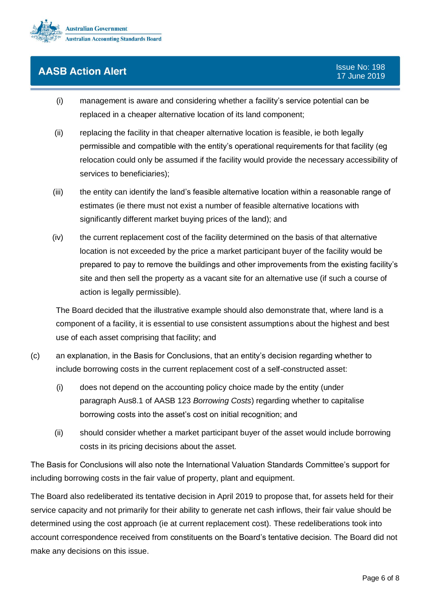

- (i) management is aware and considering whether a facility's service potential can be replaced in a cheaper alternative location of its land component;
- (ii) replacing the facility in that cheaper alternative location is feasible, ie both legally permissible and compatible with the entity's operational requirements for that facility (eg relocation could only be assumed if the facility would provide the necessary accessibility of services to beneficiaries);
- (iii) the entity can identify the land's feasible alternative location within a reasonable range of estimates (ie there must not exist a number of feasible alternative locations with significantly different market buying prices of the land); and
- (iv) the current replacement cost of the facility determined on the basis of that alternative location is not exceeded by the price a market participant buyer of the facility would be prepared to pay to remove the buildings and other improvements from the existing facility's site and then sell the property as a vacant site for an alternative use (if such a course of action is legally permissible).

The Board decided that the illustrative example should also demonstrate that, where land is a component of a facility, it is essential to use consistent assumptions about the highest and best use of each asset comprising that facility; and

- (c) an explanation, in the Basis for Conclusions, that an entity's decision regarding whether to include borrowing costs in the current replacement cost of a self-constructed asset:
	- (i) does not depend on the accounting policy choice made by the entity (under paragraph Aus8.1 of AASB 123 *Borrowing Costs*) regarding whether to capitalise borrowing costs into the asset's cost on initial recognition; and
	- (ii) should consider whether a market participant buyer of the asset would include borrowing costs in its pricing decisions about the asset.

The Basis for Conclusions will also note the International Valuation Standards Committee's support for including borrowing costs in the fair value of property, plant and equipment.

The Board also redeliberated its tentative decision in April 2019 to propose that, for assets held for their service capacity and not primarily for their ability to generate net cash inflows, their fair value should be determined using the cost approach (ie at current replacement cost). These redeliberations took into account correspondence received from constituents on the Board's tentative decision. The Board did not make any decisions on this issue.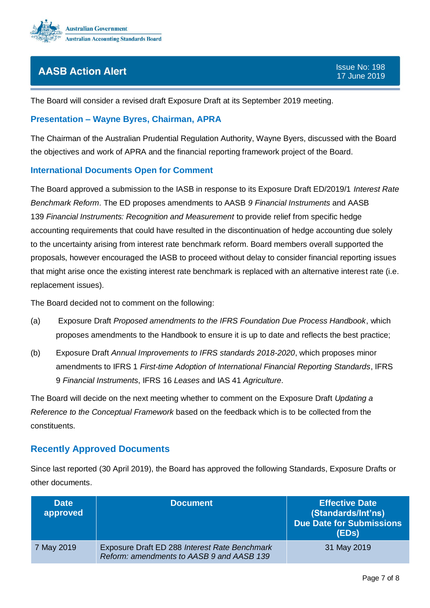

The Board will consider a revised draft Exposure Draft at its September 2019 meeting.

### <span id="page-6-0"></span>**Presentation – Wayne Byres, Chairman, APRA**

The Chairman of the Australian Prudential Regulation Authority, Wayne Byers, discussed with the Board the objectives and work of APRA and the financial reporting framework project of the Board.

#### <span id="page-6-1"></span>**International Documents Open for Comment**

The Board approved a submission to the IASB in response to its Exposure Draft ED/2019/1 *Interest Rate Benchmark Reform*. The ED proposes amendments to AASB *9 Financial Instruments* and AASB 139 *Financial Instruments: Recognition and Measurement* to provide relief from specific hedge accounting requirements that could have resulted in the discontinuation of hedge accounting due solely to the uncertainty arising from interest rate benchmark reform. Board members overall supported the proposals, however encouraged the IASB to proceed without delay to consider financial reporting issues that might arise once the existing interest rate benchmark is replaced with an alternative interest rate (i.e. replacement issues).

The Board decided not to comment on the following:

- (a) Exposure Draft *Proposed amendments to the IFRS Foundation Due Process Handbook*, which proposes amendments to the Handbook to ensure it is up to date and reflects the best practice;
- (b) Exposure Draft *Annual Improvements to IFRS standards 2018-2020*, which proposes minor amendments to IFRS 1 *First-time Adoption of International Financial Reporting Standards*, IFRS 9 *Financial Instruments*, IFRS 16 *Leases* and IAS 41 *Agriculture*.

The Board will decide on the next meeting whether to comment on the Exposure Draft *Updating a Reference to the Conceptual Framework* based on the feedback which is to be collected from the constituents.

## **Recently Approved Documents**

Since last reported (30 April 2019), the Board has approved the following Standards, Exposure Drafts or other documents.

| <b>Date</b><br>approved | <b>Document</b>                                                                            | <b>Effective Date</b><br>(Standards/Int'ns)<br><b>Due Date for Submissions</b><br>(EDs) |
|-------------------------|--------------------------------------------------------------------------------------------|-----------------------------------------------------------------------------------------|
| 7 May 2019              | Exposure Draft ED 288 Interest Rate Benchmark<br>Reform: amendments to AASB 9 and AASB 139 | 31 May 2019                                                                             |